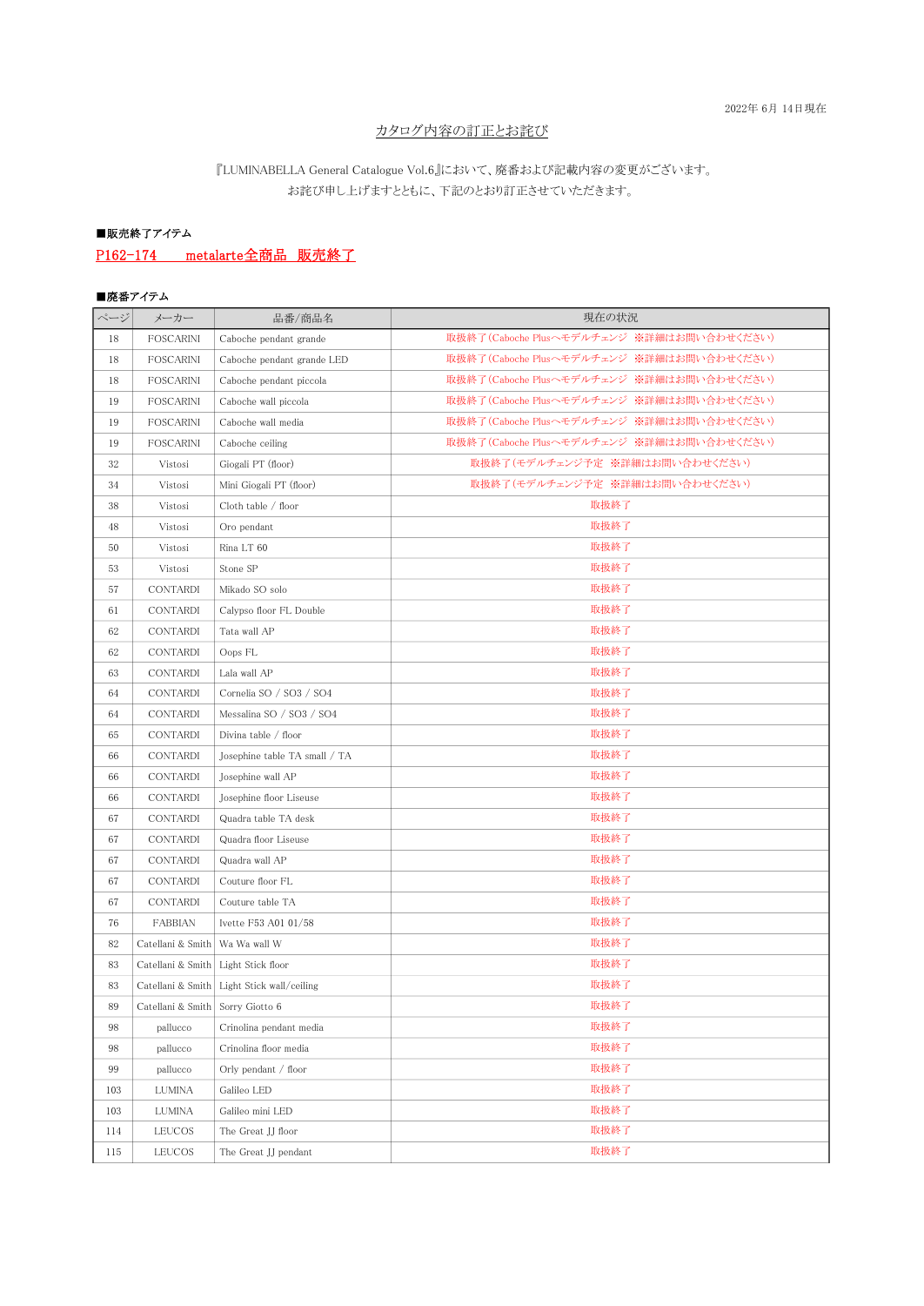### カタログ内容の訂正とお詫び

## 『LUMINABELLA General Catalogue Vol.6』において、廃番および記載内容の変更がございます。 お詫び申し上げますとともに、下記のとおり訂正させていただきます。

# ■販売終了アイテム

# P162-174 metalarte全商品 販売終了

### ■廃番アイテム

| ページ | メーカー              | 品番/商品名                        | 現在の状況                                     |  |  |  |
|-----|-------------------|-------------------------------|-------------------------------------------|--|--|--|
| 18  | FOSCARINI         | Caboche pendant grande        | 取扱終了(Caboche Plusヘモデルチェンジ ※詳細はお問い合わせください) |  |  |  |
| 18  | <b>FOSCARINI</b>  | Caboche pendant grande LED    | 取扱終了(Caboche Plusヘモデルチェンジ ※詳細はお問い合わせください) |  |  |  |
| 18  | FOSCARINI         | Caboche pendant piccola       | 取扱終了(Caboche Plusヘモデルチェンジ ※詳細はお問い合わせください) |  |  |  |
| 19  | <b>FOSCARINI</b>  | Caboche wall piccola          | 取扱終了(Caboche Plusヘモデルチェンジ ※詳細はお問い合わせください) |  |  |  |
| 19  | FOSCARINI         | Caboche wall media            | 取扱終了(Caboche Plusへモデルチェンジ ※詳細はお問い合わせください) |  |  |  |
| 19  | FOSCARINI         | Caboche ceiling               | 取扱終了(Caboche Plusヘモデルチェンジ ※詳細はお問い合わせください) |  |  |  |
| 32  | Vistosi           | Giogali PT (floor)            | 取扱終了(モデルチェンジ予定 ※詳細はお問い合わせください)            |  |  |  |
| 34  | Vistosi           | Mini Giogali PT (floor)       | 取扱終了(モデルチェンジ予定 ※詳細はお問い合わせください)            |  |  |  |
| 38  | Vistosi           | Cloth table / floor           | 取扱終了                                      |  |  |  |
| 48  | Vistosi           | Oro pendant                   | 取扱終了                                      |  |  |  |
| 50  | Vistosi           | Rina LT 60                    | 取扱終了                                      |  |  |  |
| 53  | Vistosi           | Stone SP                      | 取扱終了                                      |  |  |  |
| 57  | CONTARDI          | Mikado SO solo                | 取扱終了                                      |  |  |  |
| 61  | CONTARDI          | Calypso floor FL Double       | 取扱終了                                      |  |  |  |
| 62  | CONTARDI          | Tata wall AP                  | 取扱終了                                      |  |  |  |
| 62  | CONTARDI          | Oops FL                       | 取扱終了                                      |  |  |  |
| 63  | CONTARDI          | Lala wall AP                  | 取扱終了                                      |  |  |  |
| 64  | CONTARDI          | Cornelia SO / SO3 / SO4       | 取扱終了                                      |  |  |  |
| 64  | CONTARDI          | Messalina SO / SO3 / SO4      | 取扱終了                                      |  |  |  |
| 65  | CONTARDI          | Divina table / floor          | 取扱終了                                      |  |  |  |
| 66  | CONTARDI          | Josephine table TA small / TA | 取扱終了                                      |  |  |  |
| 66  | CONTARDI          | Josephine wall AP             | 取扱終了                                      |  |  |  |
| 66  | CONTARDI          | Josephine floor Liseuse       | 取扱終了                                      |  |  |  |
| 67  | CONTARDI          | Quadra table TA desk          | 取扱終了                                      |  |  |  |
| 67  | CONTARDI          | Quadra floor Liseuse          | 取扱終了                                      |  |  |  |
| 67  | CONTARDI          | Quadra wall AP                | 取扱終了                                      |  |  |  |
| 67  | CONTARDI          | Couture floor FL              | 取扱終了                                      |  |  |  |
| 67  | CONTARDI          | Couture table TA              | 取扱終了                                      |  |  |  |
| 76  | <b>FABBIAN</b>    | Ivette F53 A01 01/58          | 取扱終了                                      |  |  |  |
| 82  | Catellani & Smith | Wa Wa wall W                  | 取扱終了                                      |  |  |  |
| 83  | Catellani & Smith | Light Stick floor             | 取扱終了                                      |  |  |  |
| 83  | Catellani & Smith | Light Stick wall/ceiling      | 取扱終了                                      |  |  |  |
| 89  | Catellani & Smith | Sorry Giotto 6                | 取扱終了                                      |  |  |  |
| 98  | pallucco          | Crinolina pendant media       | 取扱終了                                      |  |  |  |
| 98  | pallucco          | Crinolina floor media         | 取扱終了                                      |  |  |  |
| 99  | pallucco          | Orly pendant / floor          | 取扱終了                                      |  |  |  |
| 103 | <b>LUMINA</b>     | Galileo LED                   | 取扱終了                                      |  |  |  |
| 103 | <b>LUMINA</b>     | Galileo mini LED              | 取扱終了                                      |  |  |  |
| 114 | LEUCOS            | The Great JJ floor            | 取扱終了                                      |  |  |  |
| 115 | LEUCOS            | The Great JJ pendant          | 取扱終了                                      |  |  |  |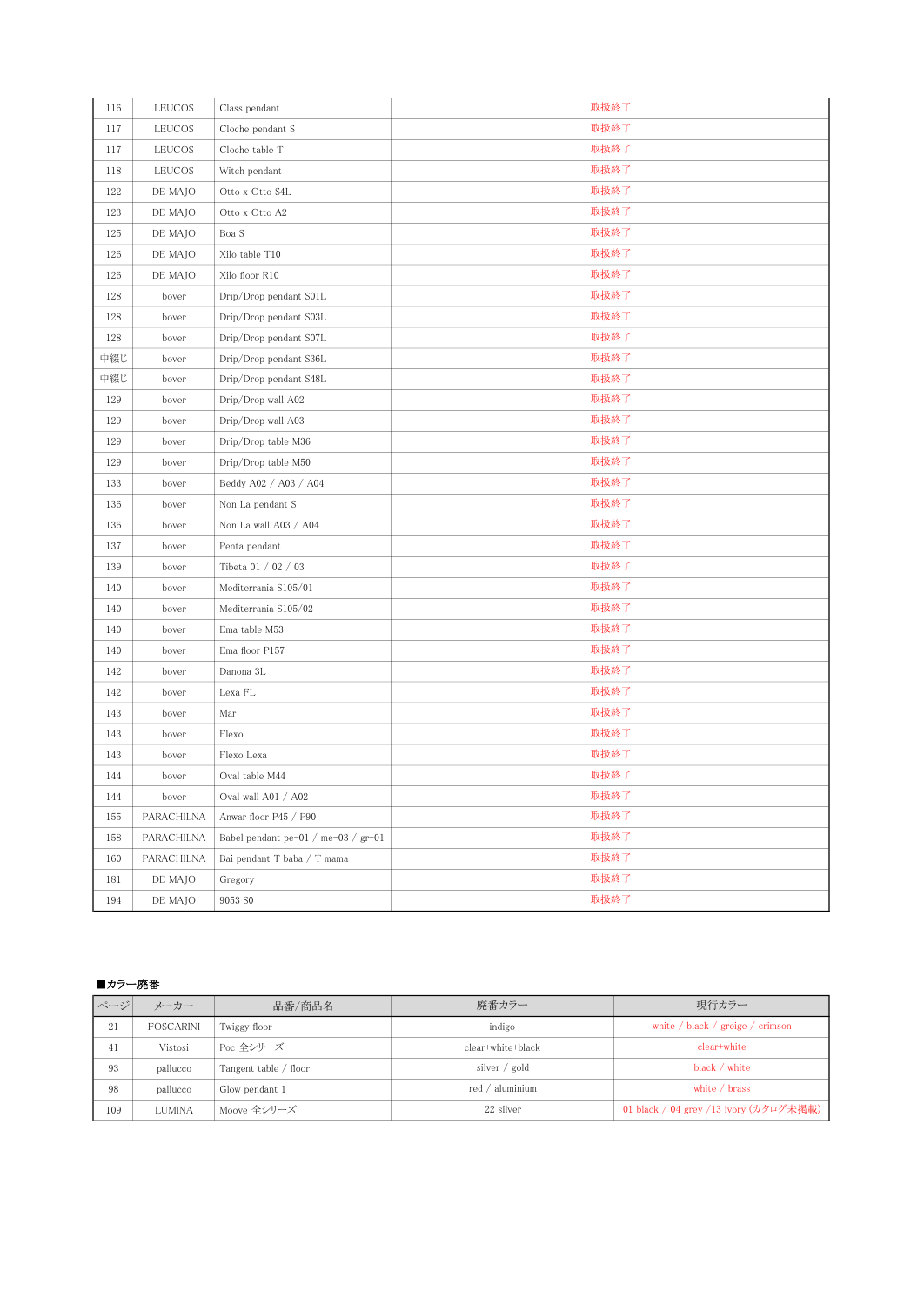| 116 | LEUCOS     | Class pendant                       | 取扱終了 |  |  |  |
|-----|------------|-------------------------------------|------|--|--|--|
| 117 | LEUCOS     | Cloche pendant S                    | 取扱終了 |  |  |  |
| 117 | LEUCOS     | Cloche table T                      | 取扱終了 |  |  |  |
| 118 | LEUCOS     | Witch pendant                       | 取扱終了 |  |  |  |
| 122 | DE MAJO    | Otto x Otto S4L                     | 取扱終了 |  |  |  |
| 123 | DE MAJO    | Otto x Otto A2                      | 取扱終了 |  |  |  |
| 125 | DE MAJO    | Boa S                               | 取扱終了 |  |  |  |
| 126 | DE MAJO    | Xilo table T10                      | 取扱終了 |  |  |  |
| 126 | DE MAJO    | Xilo floor R10                      | 取扱終了 |  |  |  |
| 128 | bover      | Drip/Drop pendant S01L              | 取扱終了 |  |  |  |
| 128 | bover      | Drip/Drop pendant S03L              | 取扱終了 |  |  |  |
| 128 | bover      | Drip/Drop pendant S07L              | 取扱終了 |  |  |  |
| 中綴じ | bover      | Drip/Drop pendant S36L              | 取扱終了 |  |  |  |
| 中綴じ | bover      | Drip/Drop pendant S48L              | 取扱終了 |  |  |  |
| 129 | bover      | Drip/Drop wall A02                  | 取扱終了 |  |  |  |
| 129 | bover      | Drip/Drop wall A03                  | 取扱終了 |  |  |  |
| 129 | bover      | Drip/Drop table M36                 | 取扱終了 |  |  |  |
| 129 | bover      | Drip/Drop table M50                 | 取扱終了 |  |  |  |
| 133 | bover      | Beddy A02 / A03 / A04               | 取扱終了 |  |  |  |
| 136 | bover      | Non La pendant S                    | 取扱終了 |  |  |  |
| 136 | bover      | Non La wall A03 / A04               | 取扱終了 |  |  |  |
| 137 | bover      | Penta pendant                       | 取扱終了 |  |  |  |
| 139 | bover      | Tibeta 01 / 02 / 03                 | 取扱終了 |  |  |  |
| 140 | bover      | Mediterrania S105/01                | 取扱終了 |  |  |  |
| 140 | bover      | Mediterrania S105/02                | 取扱終了 |  |  |  |
| 140 | bover      | Ema table M53                       | 取扱終了 |  |  |  |
| 140 | bover      | Ema floor P157                      | 取扱終了 |  |  |  |
| 142 | bover      | Danona 3L                           | 取扱終了 |  |  |  |
| 142 | bover      | Lexa FL                             | 取扱終了 |  |  |  |
| 143 | bover      | Mar                                 | 取扱終了 |  |  |  |
| 143 | bover      | Flexo                               | 取扱終了 |  |  |  |
| 143 | bover      | Flexo Lexa                          | 取扱終了 |  |  |  |
| 144 | bover      | Oval table M44                      | 取扱終了 |  |  |  |
| 144 | bover      | Oval wall A01 / A02                 | 取扱終了 |  |  |  |
| 155 | PARACHILNA | Anwar floor P45 / P90               | 取扱終了 |  |  |  |
| 158 | PARACHILNA | Babel pendant pe-01 / me-03 / gr-01 | 取扱終了 |  |  |  |
| 160 | PARACHILNA | Bai pendant T baba / T mama         | 取扱終了 |  |  |  |
| 181 | DE MAJO    | Gregory                             | 取扱終了 |  |  |  |
| 194 | DE MAJO    | 9053 SO                             | 取扱終了 |  |  |  |

#### ■カラー廃番

| ページ | メーカー          | 品番/商品名                | 廃番カラー                     | 現行カラー                                                                      |
|-----|---------------|-----------------------|---------------------------|----------------------------------------------------------------------------|
| 21  | FOSCARINI     | Twiggy floor          | indigo                    | white $\frac{\ }{\ }$ black $\frac{\ }{\ }$ greige $\frac{\ }{\ }$ crimson |
| 41  | Vistosi       | Poc 全シリーズ             | clear+white+black         | clear+white                                                                |
| 93  | pallucco      | Tangent table / floor | silver $\frac{1}{2}$ gold | black / white                                                              |
| 98  | pallucco      | Glow pendant 1        | red $/$ aluminium         | white $\ell$ brass                                                         |
| 109 | <b>LUMINA</b> | Moove 全シリーズ           | 22 silver                 | 01 black / 04 grey /13 ivory (カタログ未掲載)                                     |